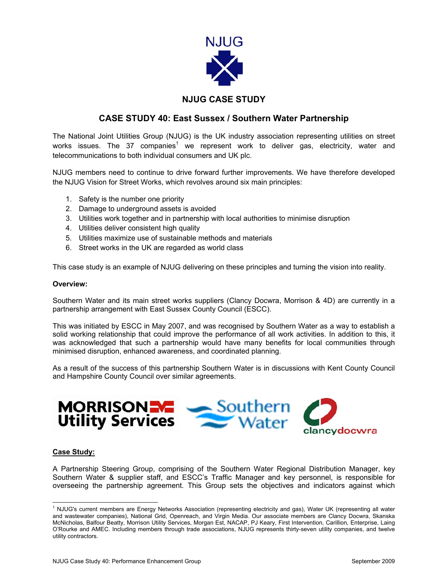

# **NJUG CASE STUDY**

## **CASE STUDY 40: East Sussex / Southern Water Partnership**

The National Joint Utilities Group (NJUG) is the UK industry association representing utilities on street works issues. The 37 companies<sup>[1](#page-0-0)</sup> we represent work to deliver gas, electricity, water and telecommunications to both individual consumers and UK plc.

NJUG members need to continue to drive forward further improvements. We have therefore developed the NJUG Vision for Street Works, which revolves around six main principles:

- 1. Safety is the number one priority
- 2. Damage to underground assets is avoided
- 3. Utilities work together and in partnership with local authorities to minimise disruption
- 4. Utilities deliver consistent high quality
- 5. Utilities maximize use of sustainable methods and materials
- 6. Street works in the UK are regarded as world class

This case study is an example of NJUG delivering on these principles and turning the vision into reality.

#### **Overview:**

Southern Water and its main street works suppliers (Clancy Docwra, Morrison & 4D) are currently in a partnership arrangement with East Sussex County Council (ESCC).

This was initiated by ESCC in May 2007, and was recognised by Southern Water as a way to establish a solid working relationship that could improve the performance of all work activities. In addition to this, it was acknowledged that such a partnership would have many benefits for local communities through minimised disruption, enhanced awareness, and coordinated planning.

As a result of the success of this partnership Southern Water is in discussions with Kent County Council and Hampshire County Council over similar agreements.



#### **Case Study:**

A Partnership Steering Group, comprising of the Southern Water Regional Distribution Manager, key Southern Water & supplier staff, and ESCC's Traffic Manager and key personnel, is responsible for overseeing the partnership agreement. This Group sets the objectives and indicators against which

<span id="page-0-0"></span> $\frac{1}{1}$ <sup>1</sup> NJUG's current members are Energy Networks Association (representing electricity and gas), Water UK (representing all water and wastewater companies), National Grid, Openreach, and Virgin Media. Our associate members are Clancy Docwra, Skanska McNicholas, Balfour Beatty, Morrison Utility Services, Morgan Est, NACAP, PJ Keary, First Intervention, Carillion, Enterprise, Laing O'Rourke and AMEC. Including members through trade associations, NJUG represents thirty-seven utility companies, and twelve utility contractors.